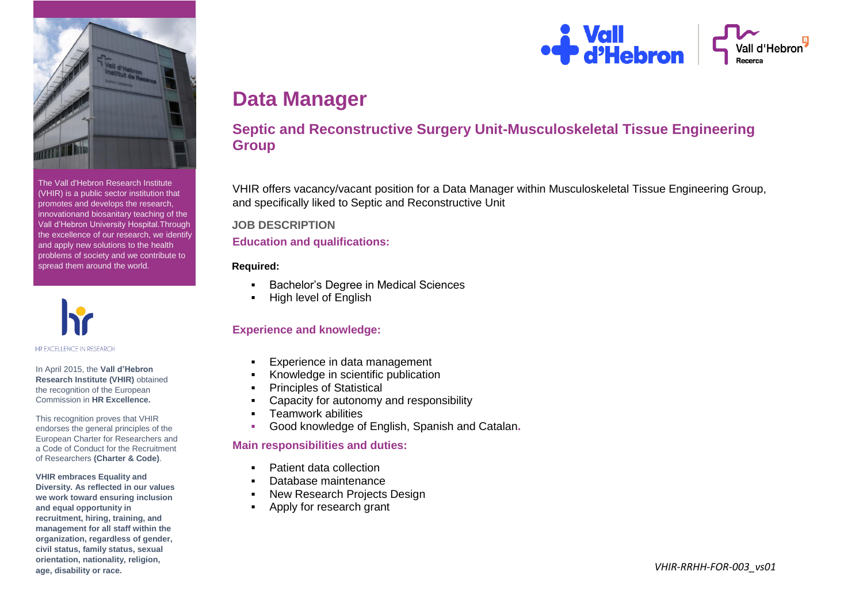

The Vall d'Hebron Research Institute (VHIR) is a public sector institution that promotes and develops the research, innovationand biosanitary teaching of the Vall d'Hebron University Hospital.Through the excellence of our research, we identify and apply new solutions to the health problems of society and we contribute to spread them around the world.



#### In April 2015, the **Vall d'Hebron Research Institute (VHIR)** obtained the recognition of the European Commission in **HR Excellence.**

This recognition proves that VHIR endorses the general principles of the European Charter for Researchers and a Code of Conduct for the Recruitment of Researchers **(Charter & Code)**.

**VHIR embraces Equality and Diversity. As reflected in our values we work toward ensuring inclusion and equal opportunity in recruitment, hiring, training, and management for all staff within the organization, regardless of gender, civil status, family status, sexual orientation, nationality, religion, age, disability or race.**



# **Data Manager**

# **Septic and Reconstructive Surgery Unit-Musculoskeletal Tissue Engineering Group**

VHIR offers vacancy/vacant position for a Data Manager within Musculoskeletal Tissue Engineering Group, and specifically liked to Septic and Reconstructive Unit

# **JOB DESCRIPTION**

## **Education and qualifications:**

# **Required:**

- Bachelor's Degree in Medical Sciences
- High level of English

# **Experience and knowledge:**

- Experience in data management
- Knowledge in scientific publication
- Principles of Statistical
- Capacity for autonomy and responsibility
- **F** Teamwork abilities
- Good knowledge of English, Spanish and Catalan**.**

# **Main responsibilities and duties:**

- Patient data collection
- Database maintenance
- New Research Projects Design
- Apply for research grant